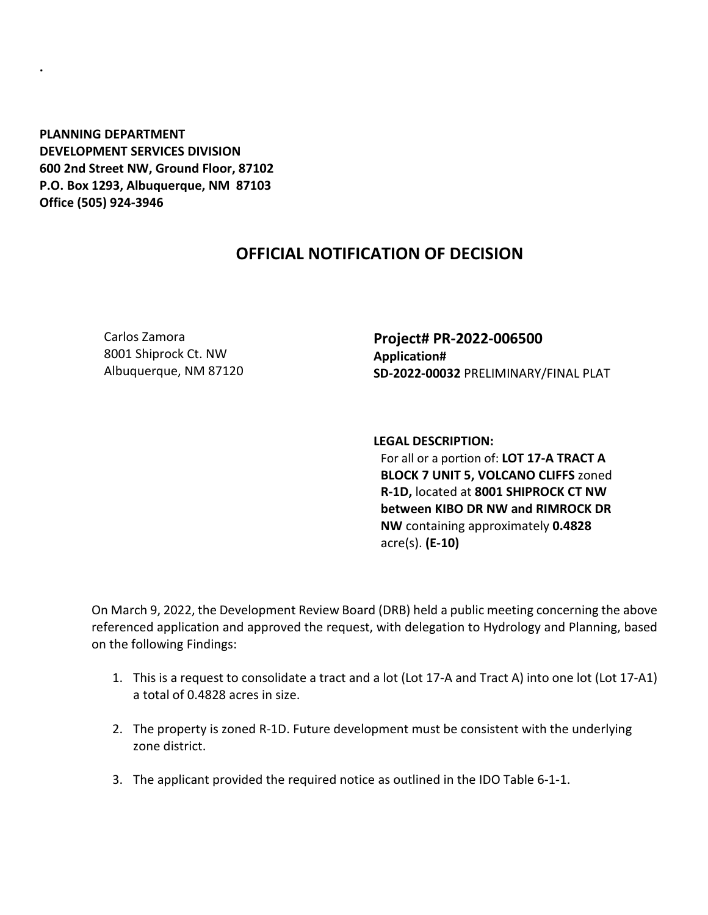**PLANNING DEPARTMENT DEVELOPMENT SERVICES DIVISION 600 2nd Street NW, Ground Floor, 87102 P.O. Box 1293, Albuquerque, NM 87103 Office (505) 924-3946** 

**.**

## **OFFICIAL NOTIFICATION OF DECISION**

Carlos Zamora 8001 Shiprock Ct. NW Albuquerque, NM 87120 **Project# PR-2022-006500 Application# SD-2022-00032** PRELIMINARY/FINAL PLAT

**LEGAL DESCRIPTION:**

For all or a portion of: **LOT 17-A TRACT A BLOCK 7 UNIT 5, VOLCANO CLIFFS** zoned **R-1D,** located at **8001 SHIPROCK CT NW between KIBO DR NW and RIMROCK DR NW** containing approximately **0.4828**  acre(s). **(E-10)**

On March 9, 2022, the Development Review Board (DRB) held a public meeting concerning the above referenced application and approved the request, with delegation to Hydrology and Planning, based on the following Findings:

- 1. This is a request to consolidate a tract and a lot (Lot 17-A and Tract A) into one lot (Lot 17-A1) a total of 0.4828 acres in size.
- 2. The property is zoned R-1D. Future development must be consistent with the underlying zone district.
- 3. The applicant provided the required notice as outlined in the IDO Table 6-1-1.